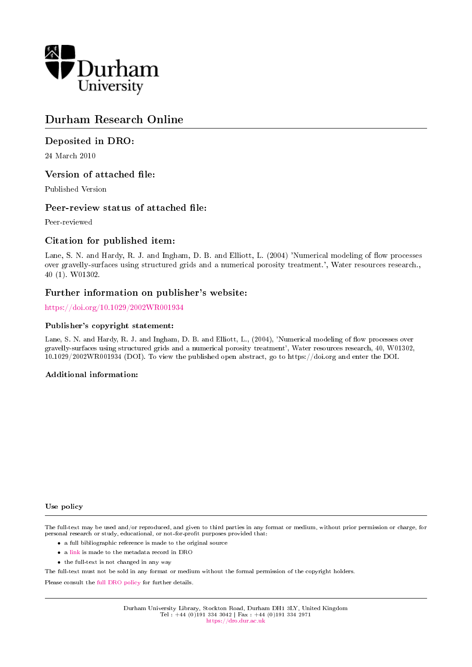

# Durham Research Online

# Deposited in DRO:

24 March 2010

# Version of attached file:

Published Version

# Peer-review status of attached file:

Peer-reviewed

# Citation for published item:

Lane, S. N. and Hardy, R. J. and Ingham, D. B. and Elliott, L. (2004) 'Numerical modeling of flow processes over gravelly-surfaces using structured grids and a numerical porosity treatment.', Water resources research., 40 (1). W01302.

### Further information on publisher's website:

<https://doi.org/10.1029/2002WR001934>

### Publisher's copyright statement:

Lane, S. N. and Hardy, R. J. and Ingham, D. B. and Elliott, L., (2004), 'Numerical modeling of flow processes over gravelly-surfaces using structured grids and a numerical porosity treatment', Water resources research, 40, W01302, 10.1029/2002WR001934 (DOI). To view the published open abstract, go to https://doi.org and enter the DOI.

### Additional information:

#### Use policy

The full-text may be used and/or reproduced, and given to third parties in any format or medium, without prior permission or charge, for personal research or study, educational, or not-for-profit purposes provided that:

- a full bibliographic reference is made to the original source
- a [link](http://dro.dur.ac.uk/1161/) is made to the metadata record in DRO
- the full-text is not changed in any way

The full-text must not be sold in any format or medium without the formal permission of the copyright holders.

Please consult the [full DRO policy](https://dro.dur.ac.uk/policies/usepolicy.pdf) for further details.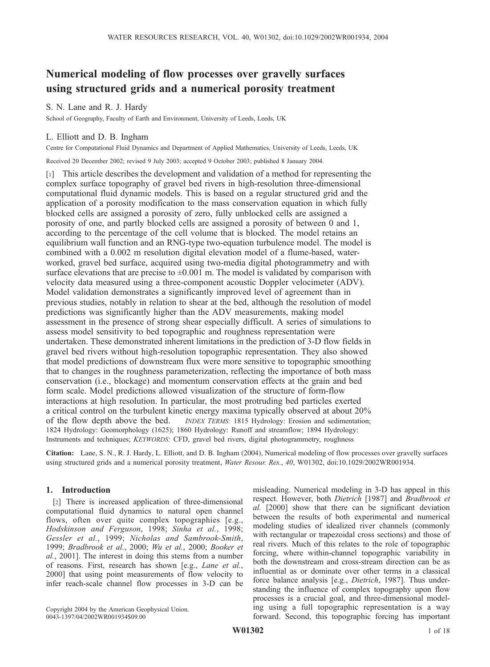# Numerical modeling of flow processes over gravelly surfaces using structured grids and a numerical porosity treatment

S. N. Lane and R. J. Hardy

School of Geography, Faculty of Earth and Environment, University of Leeds, Leeds, UK

### L. Elliott and D. B. Ingham

Centre for Computational Fluid Dynamics and Department of Applied Mathematics, University of Leeds, Leeds, UK

Received 20 December 2002; revised 9 July 2003; accepted 9 October 2003; published 8 January 2004.

[1] This article describes the development and validation of a method for representing the complex surface topography of gravel bed rivers in high-resolution three-dimensional computational fluid dynamic models. This is based on a regular structured grid and the application of a porosity modification to the mass conservation equation in which fully blocked cells are assigned a porosity of zero, fully unblocked cells are assigned a porosity of one, and partly blocked cells are assigned a porosity of between 0 and 1, according to the percentage of the cell volume that is blocked. The model retains an equilibrium wall function and an RNG-type two-equation turbulence model. The model is combined with a 0.002 m resolution digital elevation model of a flume-based, waterworked, gravel bed surface, acquired using two-media digital photogrammetry and with surface elevations that are precise to  $\pm 0.001$  m. The model is validated by comparison with velocity data measured using a three-component acoustic Doppler velocimeter (ADV). Model validation demonstrates a significantly improved level of agreement than in previous studies, notably in relation to shear at the bed, although the resolution of model predictions was significantly higher than the ADV measurements, making model assessment in the presence of strong shear especially difficult. A series of simulations to assess model sensitivity to bed topographic and roughness representation were undertaken. These demonstrated inherent limitations in the prediction of 3-D flow fields in gravel bed rivers without high-resolution topographic representation. They also showed that model predictions of downstream flux were more sensitive to topographic smoothing that to changes in the roughness parameterization, reflecting the importance of both mass conservation (i.e., blockage) and momentum conservation effects at the grain and bed form scale. Model predictions allowed visualization of the structure of form-flow interactions at high resolution. In particular, the most protruding bed particles exerted a critical control on the turbulent kinetic energy maxima typically observed at about 20% of the flow depth above the bed. INDEX TERMS: 1815 Hydrology: Erosion and sedimentation; 1824 Hydrology: Geomorphology (1625); 1860 Hydrology: Runoff and streamflow; 1894 Hydrology: Instruments and techniques; KEYWORDS: CFD, gravel bed rivers, digital photogrammetry, roughness

Citation: Lane, S. N., R. J. Hardy, L. Elliott, and D. B. Ingham (2004), Numerical modeling of flow processes over gravelly surfaces using structured grids and a numerical porosity treatment, Water Resour. Res., 40, W01302, doi:10.1029/2002WR001934.

### 1. Introduction

[2] There is increased application of three-dimensional computational fluid dynamics to natural open channel flows, often over quite complex topographies [e.g., Hodskinson and Ferguson, 1998; Sinha et al., 1998; Gessler et al., 1999; Nicholas and Sambrook-Smith, 1999; Bradbrook et al., 2000; Wu et al., 2000; Booker et al., 2001]. The interest in doing this stems from a number of reasons. First, research has shown [e.g., Lane et al., 2000] that using point measurements of flow velocity to infer reach-scale channel flow processes in 3-D can be misleading. Numerical modeling in 3-D has appeal in this respect. However, both Dietrich [1987] and Bradbrook et al. [2000] show that there can be significant deviation between the results of both experimental and numerical modeling studies of idealized river channels (commonly with rectangular or trapezoidal cross sections) and those of real rivers. Much of this relates to the role of topographic forcing, where within-channel topographic variability in both the downstream and cross-stream direction can be as influential as or dominate over other terms in a classical force balance analysis [e.g., *Dietrich*, 1987]. Thus understanding the influence of complex topography upon flow processes is a crucial goal, and three-dimensional modeling using a full topographic representation is a way forward. Second, this topographic forcing has important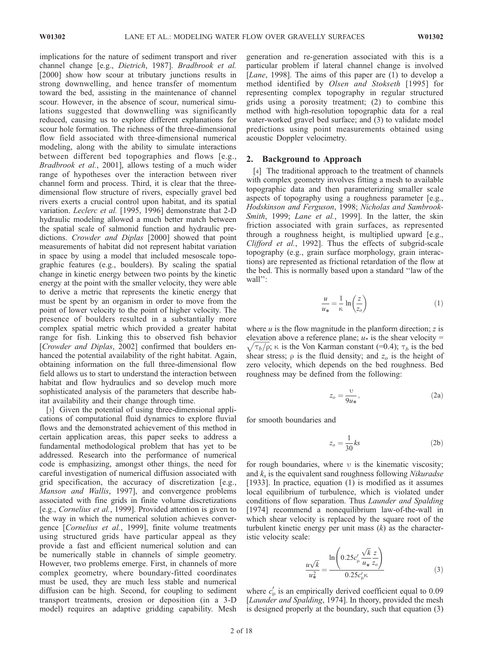implications for the nature of sediment transport and river channel change [e.g., Dietrich, 1987]. Bradbrook et al. [2000] show how scour at tributary junctions results in strong downwelling, and hence transfer of momentum toward the bed, assisting in the maintenance of channel scour. However, in the absence of scour, numerical simulations suggested that downwelling was significantly reduced, causing us to explore different explanations for scour hole formation. The richness of the three-dimensional flow field associated with three-dimensional numerical modeling, along with the ability to simulate interactions between different bed topographies and flows [e.g., Bradbrook et al., 2001], allows testing of a much wider range of hypotheses over the interaction between river channel form and process. Third, it is clear that the threedimensional flow structure of rivers, especially gravel bed rivers exerts a crucial control upon habitat, and its spatial variation. Leclerc et al. [1995, 1996] demonstrate that 2-D hydraulic modeling allowed a much better match between the spatial scale of salmonid function and hydraulic predictions. Crowder and Diplas [2000] showed that point measurements of habitat did not represent habitat variation in space by using a model that included mesoscale topographic features (e.g., boulders). By scaling the spatial change in kinetic energy between two points by the kinetic energy at the point with the smaller velocity, they were able to derive a metric that represents the kinetic energy that must be spent by an organism in order to move from the point of lower velocity to the point of higher velocity. The presence of boulders resulted in a substantially more complex spatial metric which provided a greater habitat range for fish. Linking this to observed fish behavior [Crowder and Diplas, 2002] confirmed that boulders enhanced the potential availability of the right habitat. Again, obtaining information on the full three-dimensional flow field allows us to start to understand the interaction between habitat and flow hydraulics and so develop much more sophisticated analysis of the parameters that describe habitat availability and their change through time.

[3] Given the potential of using three-dimensional applications of computational fluid dynamics to explore fluvial flows and the demonstrated achievement of this method in certain application areas, this paper seeks to address a fundamental methodological problem that has yet to be addressed. Research into the performance of numerical code is emphasizing, amongst other things, the need for careful investigation of numerical diffusion associated with grid specification, the accuracy of discretization [e.g., Manson and Wallis, 1997], and convergence problems associated with fine grids in finite volume discretizations [e.g., Cornelius et al., 1999]. Provided attention is given to the way in which the numerical solution achieves convergence [Cornelius et al., 1999], finite volume treatments using structured grids have particular appeal as they provide a fast and efficient numerical solution and can be numerically stable in channels of simple geometry. However, two problems emerge. First, in channels of more complex geometry, where boundary-fitted coordinates must be used, they are much less stable and numerical diffusion can be high. Second, for coupling to sediment transport treatments, erosion or deposition (in a 3-D model) requires an adaptive gridding capability. Mesh

generation and re-generation associated with this is a particular problem if lateral channel change is involved [*Lane*, 1998]. The aims of this paper are (1) to develop a method identified by Olsen and Stokseth [1995] for representing complex topography in regular structured grids using a porosity treatment; (2) to combine this method with high-resolution topographic data for a real water-worked gravel bed surface; and (3) to validate model predictions using point measurements obtained using acoustic Doppler velocimetry.

#### 2. Background to Approach

[4] The traditional approach to the treatment of channels with complex geometry involves fitting a mesh to available topographic data and then parameterizing smaller scale aspects of topography using a roughness parameter [e.g., Hodskinson and Ferguson, 1998; Nicholas and Sambrook-Smith, 1999; Lane et al., 1999]. In the latter, the skin friction associated with grain surfaces, as represented through a roughness height, is multiplied upward [e.g., Clifford et al., 1992]. Thus the effects of subgrid-scale topography (e.g., grain surface morphology, grain interactions) are represented as frictional retardation of the flow at the bed. This is normally based upon a standard ''law of the wall'':

$$
\frac{u}{u_*} = \frac{1}{\kappa} \ln \left( \frac{z}{z_o} \right) \tag{1}
$$

where  $u$  is the flow magnitude in the planform direction;  $z$  is elevation above a reference plane;  $u_*$  is the shear velocity =  $\sqrt{\tau_b/\rho}$ ;  $\kappa$  is the Von Karman constant (=0.4);  $\tau_b$  is the bed shear stress;  $\rho$  is the fluid density; and  $z_o$  is the height of zero velocity, which depends on the bed roughness. Bed roughness may be defined from the following:

$$
z_o = \frac{\upsilon}{9u_*},\tag{2a}
$$

for smooth boundaries and

$$
z_o = \frac{1}{30}ks\tag{2b}
$$

for rough boundaries, where  $\nu$  is the kinematic viscosity; and  $k<sub>s</sub>$  is the equivalent sand roughness following *Nikuradse* [1933]. In practice, equation (1) is modified as it assumes local equilibrium of turbulence, which is violated under conditions of flow separation. Thus Launder and Spalding [1974] recommend a nonequilibrium law-of-the-wall in which shear velocity is replaced by the square root of the turbulent kinetic energy per unit mass  $(k)$  as the characteristic velocity scale:

$$
\frac{u\sqrt{k}}{u_{*}^{2}} = \frac{\ln\left(0.25c_{\mu}^{\prime}\frac{\sqrt{k}}{u_{*}z_{o}}\right)}{0.25c_{\mu}^{\prime}\kappa}
$$
(3)

where  $c'_{\mu}$  is an empirically derived coefficient equal to 0.09 [Launder and Spalding, 1974]. In theory, provided the mesh is designed properly at the boundary, such that equation (3)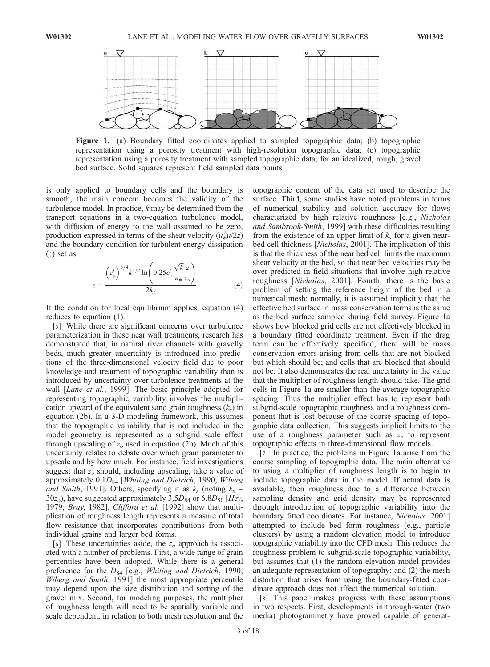

Figure 1. (a) Boundary fitted coordinates applied to sampled topographic data; (b) topographic representation using a porosity treatment with high-resolution topographic data; (c) topographic representation using a porosity treatment with sampled topographic data; for an idealized, rough, gravel bed surface. Solid squares represent field sampled data points.

is only applied to boundary cells and the boundary is smooth, the main concern becomes the validity of the turbulence model. In practice,  $k$  may be determined from the transport equations in a two-equation turbulence model, with diffusion of energy to the wall assumed to be zero, production expressed in terms of the shear velocity  $(u_*^2 u/2z)$ production expressed in terms of the shear velocity  $(u_*u/2)$ <br>and the boundary condition for turbulent energy dissipation  $(\epsilon)$  set as:

$$
\varepsilon = \frac{\left(c'_{\mu}\right)^{3/4} k^{3/2} \ln\left(0.25c'_{\mu}\frac{\sqrt{k}z}{u_{*}z_{o}}\right)}{2ky}
$$
(4)

If the condition for local equilibrium applies, equation (4) reduces to equation (1).

[5] While there are significant concerns over turbulence parameterization in these near wall treatments, research has demonstrated that, in natural river channels with gravelly beds, much greater uncertainty is introduced into predictions of the three-dimensional velocity field due to poor knowledge and treatment of topographic variability than is introduced by uncertainty over turbulence treatments at the wall [Lane et al., 1999]. The basic principle adopted for representing topographic variability involves the multiplication upward of the equivalent sand grain roughness  $(k<sub>s</sub>)$  in equation (2b). In a 3-D modeling framework, this assumes that the topographic variability that is not included in the model geometry is represented as a subgrid scale effect through upscaling of  $z<sub>o</sub>$  used in equation (2b). Much of this uncertainty relates to debate over which grain parameter to upscale and by how much. For instance, field investigations suggest that  $z<sub>o</sub>$  should, including upscaling, take a value of approximately  $0.1D_{84}$  [*Whiting and Dietrich*, 1990; *Wiberg* and Smith, 1991]. Others, specifying it as  $k_s$  (noting  $k_s$  =  $30z<sub>o</sub>$ ), have suggested approximately 3.5 $D<sub>84</sub>$  or 6.8 $D<sub>50</sub>$  [Hey, 1979; Bray, 1982]. Clifford et al. [1992] show that multiplication of roughness length represents a measure of total flow resistance that incorporates contributions from both individual grains and larger bed forms.

[6] These uncertainties aside, the  $z<sub>o</sub>$  approach is associated with a number of problems. First, a wide range of grain percentiles have been adopted. While there is a general preference for the  $D_{84}$  [e.g., *Whiting and Dietrich*, 1990; Wiberg and Smith, 1991] the most appropriate percentile may depend upon the size distribution and sorting of the gravel mix. Second, for modeling purposes, the multiplier of roughness length will need to be spatially variable and scale dependent, in relation to both mesh resolution and the topographic content of the data set used to describe the surface. Third, some studies have noted problems in terms of numerical stability and solution accuracy for flows characterized by high relative roughness [e.g., Nicholas and Sambrook-Smith, 1999] with these difficulties resulting from the existence of an upper limit of  $k<sub>s</sub>$  for a given nearbed cell thickness [Nicholas, 2001]. The implication of this is that the thickness of the near bed cell limits the maximum shear velocity at the bed, so that near bed velocities may be over predicted in field situations that involve high relative roughness [Nicholas, 2001]. Fourth, there is the basic problem of setting the reference height of the bed in a numerical mesh: normally, it is assumed implicitly that the effective bed surface in mass conservation terms is the same as the bed surface sampled during field survey. Figure 1a shows how blocked grid cells are not effectively blocked in a boundary fitted coordinate treatment. Even if the drag term can be effectively specified, there will be mass conservation errors arising from cells that are not blocked but which should be; and cells that are blocked that should not be. It also demonstrates the real uncertainty in the value that the multiplier of roughness length should take. The grid cells in Figure 1a are smaller than the average topographic spacing. Thus the multiplier effect has to represent both subgrid-scale topographic roughness and a roughness component that is lost because of the coarse spacing of topographic data collection. This suggests implicit limits to the use of a roughness parameter such as  $z<sub>o</sub>$  to represent topographic effects in three-dimensional flow models.

[7] In practice, the problems in Figure 1a arise from the coarse sampling of topographic data. The main alternative to using a multiplier of roughness length is to begin to include topographic data in the model. If actual data is available, then roughness due to a difference between sampling density and grid density may be represented through introduction of topographic variability into the boundary fitted coordinates. For instance, Nicholas [2001] attempted to include bed form roughness (e.g., particle clusters) by using a random elevation model to introduce topographic variability into the CFD mesh. This reduces the roughness problem to subgrid-scale topographic variability, but assumes that (1) the random elevation model provides an adequate representation of topography; and (2) the mesh distortion that arises from using the boundary-fitted coordinate approach does not affect the numerical solution.

[8] This paper makes progress with these assumptions in two respects. First, developments in through-water (two media) photogrammetry have proved capable of generat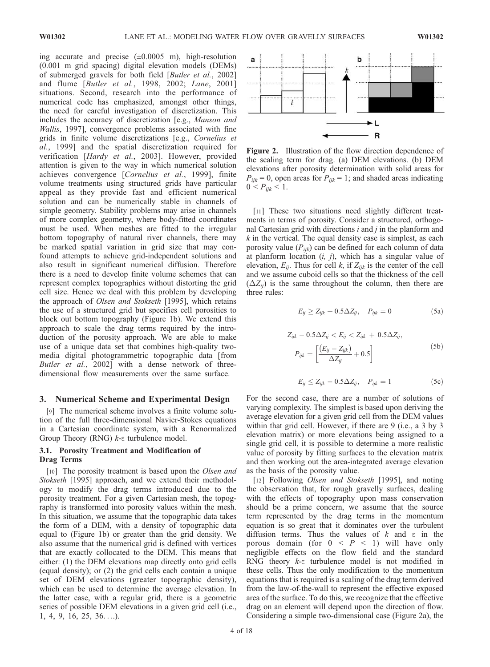ing accurate and precise  $(\pm 0.0005 \text{ m})$ , high-resolution (0.001 m grid spacing) digital elevation models (DEMs) of submerged gravels for both field [Butler et al., 2002] and flume [Butler et al., 1998, 2002; Lane, 2001] situations. Second, research into the performance of numerical code has emphasized, amongst other things, the need for careful investigation of discretization. This includes the accuracy of discretization [e.g., Manson and Wallis, 1997], convergence problems associated with fine grids in finite volume discretizations [e.g., Cornelius et al., 1999] and the spatial discretization required for verification [Hardy et al., 2003]. However, provided attention is given to the way in which numerical solution achieves convergence [Cornelius et al., 1999], finite volume treatments using structured grids have particular appeal as they provide fast and efficient numerical solution and can be numerically stable in channels of simple geometry. Stability problems may arise in channels of more complex geometry, where body-fitted coordinates must be used. When meshes are fitted to the irregular bottom topography of natural river channels, there may be marked spatial variation in grid size that may confound attempts to achieve grid-independent solutions and also result in significant numerical diffusion. Therefore there is a need to develop finite volume schemes that can represent complex topographies without distorting the grid cell size. Hence we deal with this problem by developing the approach of Olsen and Stokseth [1995], which retains the use of a structured grid but specifies cell porosities to block out bottom topography (Figure 1b). We extend this approach to scale the drag terms required by the introduction of the porosity approach. We are able to make use of a unique data set that combines high-quality twomedia digital photogrammetric topographic data [from Butler et al., 2002] with a dense network of threedimensional flow measurements over the same surface.

#### 3. Numerical Scheme and Experimental Design

[9] The numerical scheme involves a finite volume solution of the full three-dimensional Navier-Stokes equations in a Cartesian coordinate system, with a Renormalized Group Theory (RNG)  $k$ - $\varepsilon$  turbulence model.

#### 3.1. Porosity Treatment and Modification of Drag Terms

[10] The porosity treatment is based upon the *Olsen and* Stokseth [1995] approach, and we extend their methodology to modify the drag terms introduced due to the porosity treatment. For a given Cartesian mesh, the topography is transformed into porosity values within the mesh. In this situation, we assume that the topographic data takes the form of a DEM, with a density of topographic data equal to (Figure 1b) or greater than the grid density. We also assume that the numerical grid is defined with vertices that are exactly collocated to the DEM. This means that either: (1) the DEM elevations map directly onto grid cells (equal density); or (2) the grid cells each contain a unique set of DEM elevations (greater topographic density), which can be used to determine the average elevation. In the latter case, with a regular grid, there is a geometric series of possible DEM elevations in a given grid cell (i.e., 1, 4, 9, 16, 25, 36....).



Figure 2. Illustration of the flow direction dependence of the scaling term for drag. (a) DEM elevations. (b) DEM elevations after porosity determination with solid areas for  $P_{ijk} = 0$ , open areas for  $P_{ijk} = 1$ ; and shaded areas indicating  $0 < P_{ijk} < 1$ .

[11] These two situations need slightly different treatments in terms of porosity. Consider a structured, orthogonal Cartesian grid with directions  $i$  and  $j$  in the planform and  $k$  in the vertical. The equal density case is simplest, as each porosity value  $(P_{ijk})$  can be defined for each column of data at planform location  $(i, j)$ , which has a singular value of elevation,  $E_{ij}$ . Thus for cell k, if  $Z_{ijk}$  is the center of the cell and we assume cuboid cells so that the thickness of the cell  $(\Delta Z_{ij})$  is the same throughout the column, then there are three rules:

$$
E_{ij} \ge Z_{ijk} + 0.5\Delta Z_{ij}, \quad P_{ijk} = 0 \tag{5a}
$$

$$
Z_{ijk} - 0.5\Delta Z_{ij} < E_{ij} < Z_{ijk} + 0.5\Delta Z_{ij},
$$
\n
$$
P_{ijk} = \left[ \frac{(E_{ij} - Z_{ijk})}{\Delta Z_{ij}} + 0.5 \right] \tag{5b}
$$

$$
E_{ij} \le Z_{ijk} - 0.5\Delta Z_{ij}, \quad P_{ijk} = 1 \tag{5c}
$$

For the second case, there are a number of solutions of varying complexity. The simplest is based upon deriving the average elevation for a given grid cell from the DEM values within that grid cell. However, if there are 9 (i.e., a 3 by 3 elevation matrix) or more elevations being assigned to a single grid cell, it is possible to determine a more realistic value of porosity by fitting surfaces to the elevation matrix and then working out the area-integrated average elevation as the basis of the porosity value.

[12] Following *Olsen and Stokseth* [1995], and noting the observation that, for rough gravelly surfaces, dealing with the effects of topography upon mass conservation should be a prime concern, we assume that the source term represented by the drag terms in the momentum equation is so great that it dominates over the turbulent diffusion terms. Thus the values of  $k$  and  $\varepsilon$  in the porous domain (for  $0 < P < 1$ ) will have only negligible effects on the flow field and the standard RNG theory  $k$ - $\varepsilon$  turbulence model is not modified in these cells. Thus the only modification to the momentum equations that is required is a scaling of the drag term derived from the law-of-the-wall to represent the effective exposed area of the surface. To do this, we recognize that the effective drag on an element will depend upon the direction of flow. Considering a simple two-dimensional case (Figure 2a), the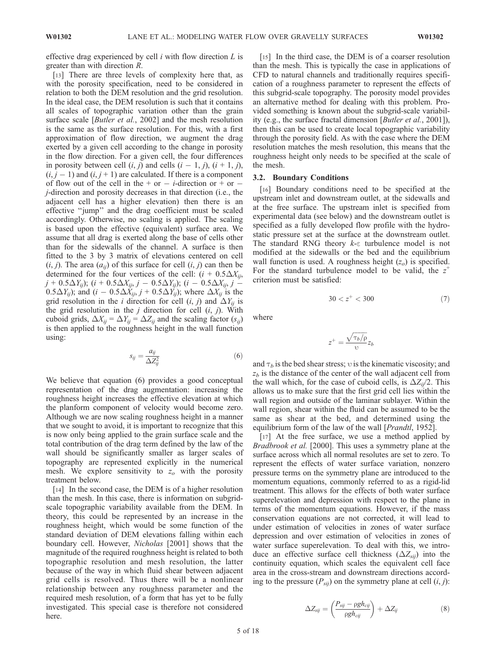effective drag experienced by cell  $i$  with flow direction  $L$  is greater than with direction R.

[13] There are three levels of complexity here that, as with the porosity specification, need to be considered in relation to both the DEM resolution and the grid resolution. In the ideal case, the DEM resolution is such that it contains all scales of topographic variation other than the grain surface scale [Butler et al., 2002] and the mesh resolution is the same as the surface resolution. For this, with a first approximation of flow direction, we augment the drag exerted by a given cell according to the change in porosity in the flow direction. For a given cell, the four differences in porosity between cell  $(i, j)$  and cells  $(i - 1, j)$ ,  $(i + 1, j)$ ,  $(i, j - 1)$  and  $(i, j + 1)$  are calculated. If there is a component of flow out of the cell in the + or  $- i$ -direction or + or  $$ j-direction and porosity decreases in that direction (i.e., the adjacent cell has a higher elevation) then there is an effective ''jump'' and the drag coefficient must be scaled accordingly. Otherwise, no scaling is applied. The scaling is based upon the effective (equivalent) surface area. We assume that all drag is exerted along the base of cells other than for the sidewalls of the channel. A surface is then fitted to the 3 by 3 matrix of elevations centered on cell  $(i, j)$ . The area  $(a_{ij})$  of this surface for cell  $(i, j)$  can then be determined for the four vertices of the cell:  $(i + 0.5\Delta X_{ij},$  $j + 0.5\Delta Y_{ij}$ ); ( $i + 0.5\Delta X_{ij}, j - 0.5\Delta Y_{ij}$ ); ( $i - 0.5\Delta X_{ij}, j - 0.5\Delta Y_{ij}$ 0.5 $\Delta Y_{ij}$ ); and  $(i - 0.5\Delta X_{ij}, j + 0.5\Delta Y_{ij})$ ; where  $\Delta X_{ij}$  is the grid resolution in the *i* direction for cell  $(i, j)$  and  $\Delta Y_{ij}$  is the grid resolution in the  $j$  direction for cell  $(i, j)$ . With cuboid grids,  $\Delta X_{ij} = \Delta Y_{ij} = \Delta Z_{ij}$  and the scaling factor  $(s_{ij})$ is then applied to the roughness height in the wall function using:

$$
s_{ij} = \frac{a_{ij}}{\Delta Z_{ij}^2} \tag{6}
$$

We believe that equation (6) provides a good conceptual representation of the drag augmentation: increasing the roughness height increases the effective elevation at which the planform component of velocity would become zero. Although we are now scaling roughness height in a manner that we sought to avoid, it is important to recognize that this is now only being applied to the grain surface scale and the total contribution of the drag term defined by the law of the wall should be significantly smaller as larger scales of topography are represented explicitly in the numerical mesh. We explore sensitivity to  $z<sub>o</sub>$  with the porosity treatment below.

[14] In the second case, the DEM is of a higher resolution than the mesh. In this case, there is information on subgridscale topographic variability available from the DEM. In theory, this could be represented by an increase in the roughness height, which would be some function of the standard deviation of DEM elevations falling within each boundary cell. However, Nicholas [2001] shows that the magnitude of the required roughness height is related to both topographic resolution and mesh resolution, the latter because of the way in which fluid shear between adjacent grid cells is resolved. Thus there will be a nonlinear relationship between any roughness parameter and the required mesh resolution, of a form that has yet to be fully investigated. This special case is therefore not considered here.

[15] In the third case, the DEM is of a coarser resolution than the mesh. This is typically the case in applications of CFD to natural channels and traditionally requires specification of a roughness parameter to represent the effects of this subgrid-scale topography. The porosity model provides an alternative method for dealing with this problem. Provided something is known about the subgrid-scale variability (e.g., the surface fractal dimension [Butler et al., 2001]), then this can be used to create local topographic variability through the porosity field. As with the case where the DEM resolution matches the mesh resolution, this means that the roughness height only needs to be specified at the scale of the mesh.

#### 3.2. Boundary Conditions

[16] Boundary conditions need to be specified at the upstream inlet and downstream outlet, at the sidewalls and at the free surface. The upstream inlet is specified from experimental data (see below) and the downstream outlet is specified as a fully developed flow profile with the hydrostatic pressure set at the surface at the downstream outlet. The standard RNG theory  $k$ - $\varepsilon$  turbulence model is not modified at the sidewalls or the bed and the equilibrium wall function is used. A roughness height  $(z<sub>o</sub>)$  is specified. For the standard turbulence model to be valid, the  $z^+$ criterion must be satisfied:

$$
30 < z^+ < 300 \tag{7}
$$

where

$$
z^+ = \frac{\sqrt{\tau_b/\rho}}{\upsilon} z_b
$$

and  $\tau_b$  is the bed shear stress; v is the kinematic viscosity; and  $z_b$  is the distance of the center of the wall adjacent cell from the wall which, for the case of cuboid cells, is  $\Delta Z_{ij}/2$ . This allows us to make sure that the first grid cell lies within the wall region and outside of the laminar sublayer. Within the wall region, shear within the fluid can be assumed to be the same as shear at the bed, and determined using the equilibrium form of the law of the wall [*Prandtl*, 1952].

[17] At the free surface, we use a method applied by Bradbrook et al. [2000]. This uses a symmetry plane at the surface across which all normal resolutes are set to zero. To represent the effects of water surface variation, nonzero pressure terms on the symmetry plane are introduced to the momentum equations, commonly referred to as a rigid-lid treatment. This allows for the effects of both water surface superelevation and depression with respect to the plane in terms of the momentum equations. However, if the mass conservation equations are not corrected, it will lead to under estimation of velocities in zones of water surface depression and over estimation of velocities in zones of water surface superelevation. To deal with this, we introduce an effective surface cell thickness  $(\Delta Z_{sij})$  into the continuity equation, which scales the equivalent cell face area in the cross-stream and downstream directions according to the pressure  $(P_{sij})$  on the symmetry plane at cell  $(i, j)$ :

$$
\Delta Z_{sij} = \left(\frac{P_{sij} - \rho g h_{cij}}{\rho g h_{cij}}\right) + \Delta Z_{ij}
$$
\n(8)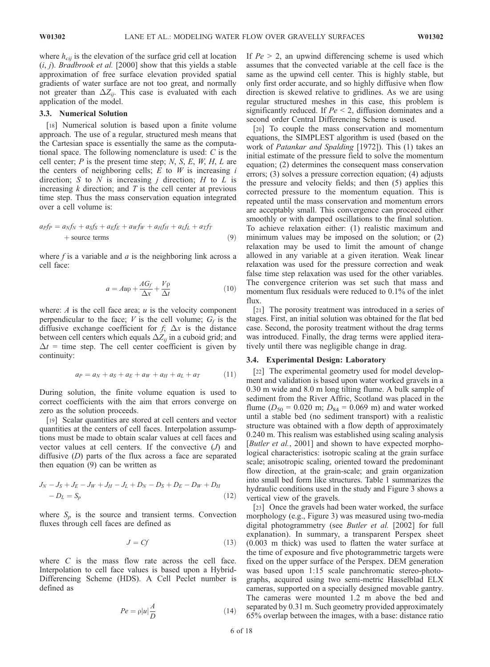where  $h_{cij}$  is the elevation of the surface grid cell at location  $(i, j)$ . Bradbrook et al. [2000] show that this yields a stable approximation of free surface elevation provided spatial gradients of water surface are not too great, and normally not greater than  $\Delta Z_{ij}$ . This case is evaluated with each application of the model.

#### 3.3. Numerical Solution

[18] Numerical solution is based upon a finite volume approach. The use of a regular, structured mesh means that the Cartesian space is essentially the same as the computational space. The following nomenclature is used: C is the cell center;  $P$  is the present time step;  $N$ ,  $S$ ,  $E$ ,  $W$ ,  $H$ ,  $L$  are the centers of neighboring cells;  $E$  to  $W$  is increasing i direction; S to N is increasing j direction; H to L is increasing  $k$  direction; and  $T$  is the cell center at previous time step. Thus the mass conservation equation integrated over a cell volume is:

$$
apfp = a_Nf_N + a_Sf_S + a_Ef_E + a_Wf_W + a_Hf_H + a_Lf_L + a_Tf_T
$$
  
+ source terms (9)

where  $f$  is a variable and  $a$  is the neighboring link across a cell face:

$$
a = A u \rho + \frac{A G_f}{\Delta x} + \frac{V \rho}{\Delta t}
$$
 (10)

where:  $A$  is the cell face area;  $u$  is the velocity component perpendicular to the face; V is the cell volume;  $G_f$  is the diffusive exchange coefficient for  $f$ ;  $\Delta x$  is the distance between cell centers which equals  $\Delta Z_{ij}$  in a cuboid grid; and  $\Delta t$  = time step. The cell center coefficient is given by continuity:

$$
a_P = a_N + a_S + a_E + a_W + a_H + a_L + a_T \tag{11}
$$

During solution, the finite volume equation is used to correct coefficients with the aim that errors converge on zero as the solution proceeds.

[19] Scalar quantities are stored at cell centers and vector quantities at the centers of cell faces. Interpolation assumptions must be made to obtain scalar values at cell faces and vector values at cell centers. If the convective  $(J)$  and diffusive  $(D)$  parts of the flux across a face are separated then equation (9) can be written as

$$
J_N - J_S + J_E - J_W + J_H - J_L + D_N - D_S + D_E - D_W + D_H
$$
  
- 
$$
D_L = S_p
$$
 (12)

where  $S_p$  is the source and transient terms. Convection fluxes through cell faces are defined as

$$
J = Cf \tag{13}
$$

where  $C$  is the mass flow rate across the cell face. Interpolation to cell face values is based upon a Hybrid-Differencing Scheme (HDS). A Cell Peclet number is defined as

$$
Pe = \rho |u| \frac{A}{D} \tag{14}
$$

If  $Pe > 2$ , an upwind differencing scheme is used which assumes that the convected variable at the cell face is the same as the upwind cell center. This is highly stable, but only first order accurate, and so highly diffusive when flow direction is skewed relative to gridlines. As we are using regular structured meshes in this case, this problem is significantly reduced. If  $Pe < 2$ , diffusion dominates and a second order Central Differencing Scheme is used.

[20] To couple the mass conservation and momentum equations, the SIMPLEST algorithm is used (based on the work of Patankar and Spalding [1972]). This (1) takes an initial estimate of the pressure field to solve the momentum equation; (2) determines the consequent mass conservation errors; (3) solves a pressure correction equation; (4) adjusts the pressure and velocity fields; and then (5) applies this corrected pressure to the momentum equation. This is repeated until the mass conservation and momentum errors are acceptably small. This convergence can proceed either smoothly or with damped oscillations to the final solution. To achieve relaxation either: (1) realistic maximum and minimum values may be imposed on the solution; or (2) relaxation may be used to limit the amount of change allowed in any variable at a given iteration. Weak linear relaxation was used for the pressure correction and weak false time step relaxation was used for the other variables. The convergence criterion was set such that mass and momentum flux residuals were reduced to 0.1% of the inlet flux.

[21] The porosity treatment was introduced in a series of stages. First, an initial solution was obtained for the flat bed case. Second, the porosity treatment without the drag terms was introduced. Finally, the drag terms were applied iteratively until there was negligible change in drag.

#### 3.4. Experimental Design: Laboratory

[22] The experimental geometry used for model development and validation is based upon water worked gravels in a 0.30 m wide and 8.0 m long tilting flume. A bulk sample of sediment from the River Affric, Scotland was placed in the flume ( $D_{50} = 0.020$  m;  $D_{84} = 0.069$  m) and water worked until a stable bed (no sediment transport) with a realistic structure was obtained with a flow depth of approximately 0.240 m. This realism was established using scaling analysis [*Butler et al.*, 2001] and shown to have expected morphological characteristics: isotropic scaling at the grain surface scale; anisotropic scaling, oriented toward the predominant flow direction, at the grain-scale; and grain organization into small bed form like structures. Table 1 summarizes the hydraulic conditions used in the study and Figure 3 shows a vertical view of the gravels.

[23] Once the gravels had been water worked, the surface morphology (e.g., Figure 3) was measured using two-media digital photogrammetry (see Butler et al. [2002] for full explanation). In summary, a transparent Perspex sheet (0.003 m thick) was used to flatten the water surface at the time of exposure and five photogrammetric targets were fixed on the upper surface of the Perspex. DEM generation was based upon 1:15 scale panchromatic stereo-photographs, acquired using two semi-metric Hasselblad ELX cameras, supported on a specially designed movable gantry. The cameras were mounted 1.2 m above the bed and separated by 0.31 m. Such geometry provided approximately 65% overlap between the images, with a base: distance ratio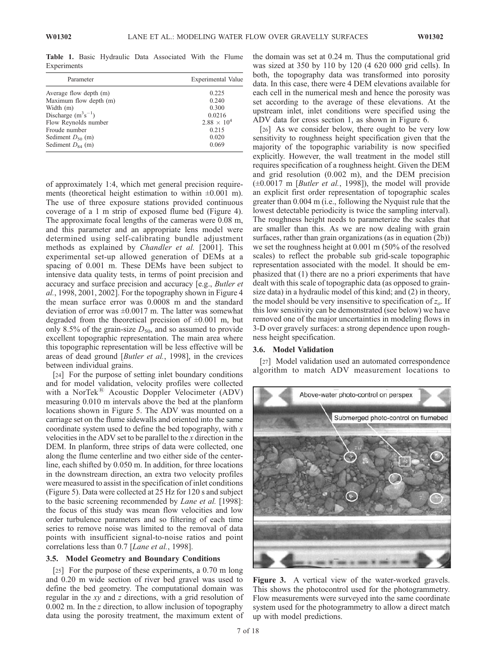Table 1. Basic Hydraulic Data Associated With the Flume Experiments

| Parameter               | Experimental Value   |  |
|-------------------------|----------------------|--|
| Average flow depth (m)  | 0.225                |  |
| Maximum flow depth (m)  | 0.240                |  |
| Width (m)               | 0.300                |  |
| Discharge $(m^3s^{-1})$ | 0.0216               |  |
| Flow Reynolds number    | $2.88 \times 10^{4}$ |  |
| Froude number           | 0.215                |  |
| Sediment $D_{50}$ (m)   | 0.020                |  |
| Sediment $D_{84}$ (m)   | 0.069                |  |

of approximately 1:4, which met general precision requirements (theoretical height estimation to within  $\pm 0.001$  m). The use of three exposure stations provided continuous coverage of a 1 m strip of exposed flume bed (Figure 4). The approximate focal lengths of the cameras were 0.08 m, and this parameter and an appropriate lens model were determined using self-calibrating bundle adjustment methods as explained by Chandler et al. [2001]. This experimental set-up allowed generation of DEMs at a spacing of 0.001 m. These DEMs have been subject to intensive data quality tests, in terms of point precision and accuracy and surface precision and accuracy [e.g., Butler et al., 1998, 2001, 2002]. For the topography shown in Figure 4 the mean surface error was 0.0008 m and the standard deviation of error was  $\pm 0.0017$  m. The latter was somewhat degraded from the theoretical precision of  $\pm 0.001$  m, but only 8.5% of the grain-size  $D_{50}$ , and so assumed to provide excellent topographic representation. The main area where this topographic representation will be less effective will be areas of dead ground [Butler et al., 1998], in the crevices between individual grains.

[24] For the purpose of setting inlet boundary conditions and for model validation, velocity profiles were collected with a NorTek $^{(k)}$  Acoustic Doppler Velocimeter (ADV) measuring 0.010 m intervals above the bed at the planform locations shown in Figure 5. The ADV was mounted on a carriage set on the flume sidewalls and oriented into the same coordinate system used to define the bed topography, with  $x$ velocities in the ADV set to be parallel to the x direction in the DEM. In planform, three strips of data were collected, one along the flume centerline and two either side of the centerline, each shifted by 0.050 m. In addition, for three locations in the downstream direction, an extra two velocity profiles were measured to assist in the specification of inlet conditions (Figure 5). Data were collected at 25 Hz for 120 s and subject to the basic screening recommended by *Lane et al.* [1998]: the focus of this study was mean flow velocities and low order turbulence parameters and so filtering of each time series to remove noise was limited to the removal of data points with insufficient signal-to-noise ratios and point correlations less than 0.7 [Lane et al., 1998].

#### 3.5. Model Geometry and Boundary Conditions

[25] For the purpose of these experiments, a 0.70 m long and 0.20 m wide section of river bed gravel was used to define the bed geometry. The computational domain was regular in the xy and z directions, with a grid resolution of 0.002 m. In the z direction, to allow inclusion of topography data using the porosity treatment, the maximum extent of the domain was set at 0.24 m. Thus the computational grid was sized at 350 by 110 by 120 (4 620 000 grid cells). In both, the topography data was transformed into porosity data. In this case, there were 4 DEM elevations available for each cell in the numerical mesh and hence the porosity was set according to the average of these elevations. At the upstream inlet, inlet conditions were specified using the ADV data for cross section 1, as shown in Figure 6.

[26] As we consider below, there ought to be very low sensitivity to roughness height specification given that the majority of the topographic variability is now specified explicitly. However, the wall treatment in the model still requires specification of a roughness height. Given the DEM and grid resolution (0.002 m), and the DEM precision  $(\pm 0.0017 \text{ m}$  [*Butler et al.*, 1998]), the model will provide an explicit first order representation of topographic scales greater than 0.004 m (i.e., following the Nyquist rule that the lowest detectable periodicity is twice the sampling interval). The roughness height needs to parameterize the scales that are smaller than this. As we are now dealing with grain surfaces, rather than grain organizations (as in equation (2b)) we set the roughness height at 0.001 m (50% of the resolved scales) to reflect the probable sub grid-scale topographic representation associated with the model. It should be emphasized that (1) there are no a priori experiments that have dealt with this scale of topographic data (as opposed to grainsize data) in a hydraulic model of this kind; and (2) in theory, the model should be very insensitive to specification of  $z_o$ . If this low sensitivity can be demonstrated (see below) we have removed one of the major uncertainties in modeling flows in 3-D over gravely surfaces: a strong dependence upon roughness height specification.

#### 3.6. Model Validation

[27] Model validation used an automated correspondence algorithm to match ADV measurement locations to



Figure 3. A vertical view of the water-worked gravels. This shows the photocontrol used for the photogrammetry. Flow measurements were surveyed into the same coordinate system used for the photogrammetry to allow a direct match up with model predictions.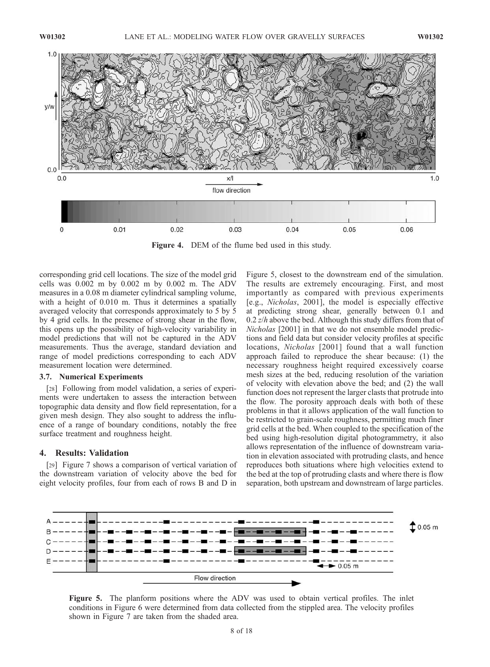

Figure 4. DEM of the flume bed used in this study.

corresponding grid cell locations. The size of the model grid cells was 0.002 m by 0.002 m by 0.002 m. The ADV measures in a 0.08 m diameter cylindrical sampling volume, with a height of 0.010 m. Thus it determines a spatially averaged velocity that corresponds approximately to 5 by 5 by 4 grid cells. In the presence of strong shear in the flow, this opens up the possibility of high-velocity variability in model predictions that will not be captured in the ADV measurements. Thus the average, standard deviation and range of model predictions corresponding to each ADV measurement location were determined.

#### 3.7. Numerical Experiments

[28] Following from model validation, a series of experiments were undertaken to assess the interaction between topographic data density and flow field representation, for a given mesh design. They also sought to address the influence of a range of boundary conditions, notably the free surface treatment and roughness height.

#### 4. Results: Validation

[29] Figure 7 shows a comparison of vertical variation of the downstream variation of velocity above the bed for eight velocity profiles, four from each of rows B and D in Figure 5, closest to the downstream end of the simulation. The results are extremely encouraging. First, and most importantly as compared with previous experiments [e.g., Nicholas, 2001], the model is especially effective at predicting strong shear, generally between 0.1 and  $0.2$  z/h above the bed. Although this study differs from that of Nicholas [2001] in that we do not ensemble model predictions and field data but consider velocity profiles at specific locations, Nicholas [2001] found that a wall function approach failed to reproduce the shear because: (1) the necessary roughness height required excessively coarse mesh sizes at the bed, reducing resolution of the variation of velocity with elevation above the bed; and (2) the wall function does not represent the larger clasts that protrude into the flow. The porosity approach deals with both of these problems in that it allows application of the wall function to be restricted to grain-scale roughness, permitting much finer grid cells at the bed. When coupled to the specification of the bed using high-resolution digital photogrammetry, it also allows representation of the influence of downstream variation in elevation associated with protruding clasts, and hence reproduces both situations where high velocities extend to the bed at the top of protruding clasts and where there is flow separation, both upstream and downstream of large particles.



Figure 5. The planform positions where the ADV was used to obtain vertical profiles. The inlet conditions in Figure 6 were determined from data collected from the stippled area. The velocity profiles shown in Figure 7 are taken from the shaded area.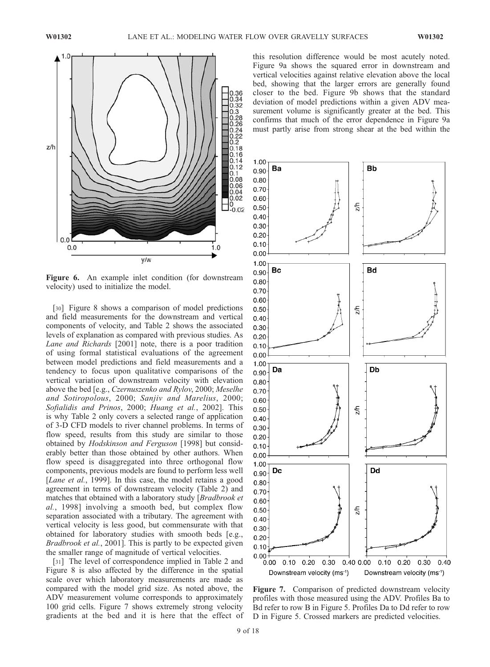

Figure 6. An example inlet condition (for downstream velocity) used to initialize the model.

[30] Figure 8 shows a comparison of model predictions and field measurements for the downstream and vertical components of velocity, and Table 2 shows the associated levels of explanation as compared with previous studies. As Lane and Richards [2001] note, there is a poor tradition of using formal statistical evaluations of the agreement between model predictions and field measurements and a tendency to focus upon qualitative comparisons of the vertical variation of downstream velocity with elevation above the bed [e.g., Czernuszenko and Rylov, 2000; Meselhe and Sotiropolous, 2000; Sanjiv and Marelius, 2000; Sofialidis and Prinos, 2000; Huang et al., 2002]. This is why Table 2 only covers a selected range of application of 3-D CFD models to river channel problems. In terms of flow speed, results from this study are similar to those obtained by Hodskinson and Ferguson [1998] but considerably better than those obtained by other authors. When flow speed is disaggregated into three orthogonal flow components, previous models are found to perform less well [*Lane et al.*, 1999]. In this case, the model retains a good agreement in terms of downstream velocity (Table 2) and matches that obtained with a laboratory study [Bradbrook et al., 1998] involving a smooth bed, but complex flow separation associated with a tributary. The agreement with vertical velocity is less good, but commensurate with that obtained for laboratory studies with smooth beds [e.g., Bradbrook et al., 2001]. This is partly to be expected given the smaller range of magnitude of vertical velocities.

[31] The level of correspondence implied in Table 2 and Figure 8 is also affected by the difference in the spatial scale over which laboratory measurements are made as compared with the model grid size. As noted above, the ADV measurement volume corresponds to approximately 100 grid cells. Figure 7 shows extremely strong velocity gradients at the bed and it is here that the effect of this resolution difference would be most acutely noted. Figure 9a shows the squared error in downstream and vertical velocities against relative elevation above the local bed, showing that the larger errors are generally found closer to the bed. Figure 9b shows that the standard deviation of model predictions within a given ADV measurement volume is significantly greater at the bed. This confirms that much of the error dependence in Figure 9a must partly arise from strong shear at the bed within the



Figure 7. Comparison of predicted downstream velocity profiles with those measured using the ADV. Profiles Ba to Bd refer to row B in Figure 5. Profiles Da to Dd refer to row D in Figure 5. Crossed markers are predicted velocities.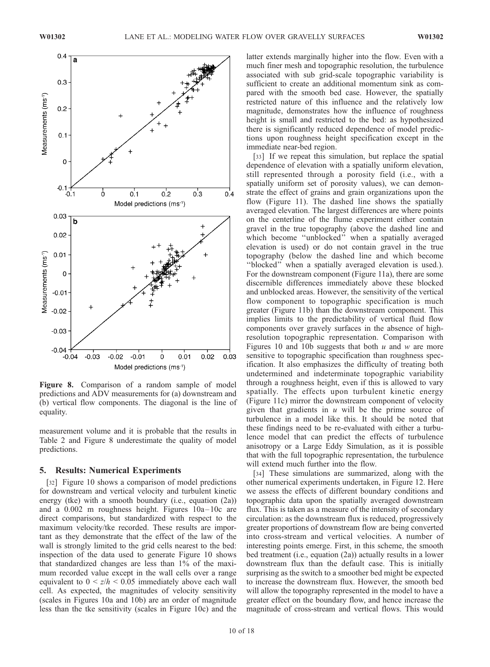

Figure 8. Comparison of a random sample of model predictions and ADV measurements for (a) downstream and (b) vertical flow components. The diagonal is the line of equality.

measurement volume and it is probable that the results in Table 2 and Figure 8 underestimate the quality of model predictions.

#### 5. Results: Numerical Experiments

[32] Figure 10 shows a comparison of model predictions for downstream and vertical velocity and turbulent kinetic energy (tke) with a smooth boundary (i.e., equation (2a)) and a 0.002 m roughness height. Figures 10a– 10c are direct comparisons, but standardized with respect to the maximum velocity/tke recorded. These results are important as they demonstrate that the effect of the law of the wall is strongly limited to the grid cells nearest to the bed: inspection of the data used to generate Figure 10 shows that standardized changes are less than 1% of the maximum recorded value except in the wall cells over a range equivalent to  $0 \lt z/h \lt 0.05$  immediately above each wall cell. As expected, the magnitudes of velocity sensitivity (scales in Figures 10a and 10b) are an order of magnitude less than the tke sensitivity (scales in Figure 10c) and the latter extends marginally higher into the flow. Even with a much finer mesh and topographic resolution, the turbulence associated with sub grid-scale topographic variability is sufficient to create an additional momentum sink as compared with the smooth bed case. However, the spatially restricted nature of this influence and the relatively low magnitude, demonstrates how the influence of roughness height is small and restricted to the bed: as hypothesized there is significantly reduced dependence of model predictions upon roughness height specification except in the immediate near-bed region.

[33] If we repeat this simulation, but replace the spatial dependence of elevation with a spatially uniform elevation, still represented through a porosity field (i.e., with a spatially uniform set of porosity values), we can demonstrate the effect of grains and grain organizations upon the flow (Figure 11). The dashed line shows the spatially averaged elevation. The largest differences are where points on the centerline of the flume experiment either contain gravel in the true topography (above the dashed line and which become "unblocked" when a spatially averaged elevation is used) or do not contain gravel in the true topography (below the dashed line and which become ''blocked'' when a spatially averaged elevation is used.). For the downstream component (Figure 11a), there are some discernible differences immediately above these blocked and unblocked areas. However, the sensitivity of the vertical flow component to topographic specification is much greater (Figure 11b) than the downstream component. This implies limits to the predictability of vertical fluid flow components over gravely surfaces in the absence of highresolution topographic representation. Comparison with Figures 10 and 10b suggests that both  $u$  and  $w$  are more sensitive to topographic specification than roughness specification. It also emphasizes the difficulty of treating both undetermined and indeterminate topographic variability through a roughness height, even if this is allowed to vary spatially. The effects upon turbulent kinetic energy (Figure 11c) mirror the downstream component of velocity given that gradients in  $u$  will be the prime source of turbulence in a model like this. It should be noted that these findings need to be re-evaluated with either a turbulence model that can predict the effects of turbulence anisotropy or a Large Eddy Simulation, as it is possible that with the full topographic representation, the turbulence will extend much further into the flow.

[34] These simulations are summarized, along with the other numerical experiments undertaken, in Figure 12. Here we assess the effects of different boundary conditions and topographic data upon the spatially averaged downstream flux. This is taken as a measure of the intensity of secondary circulation: as the downstream flux is reduced, progressively greater proportions of downstream flow are being converted into cross-stream and vertical velocities. A number of interesting points emerge. First, in this scheme, the smooth bed treatment (i.e., equation (2a)) actually results in a lower downstream flux than the default case. This is initially surprising as the switch to a smoother bed might be expected to increase the downstream flux. However, the smooth bed will allow the topography represented in the model to have a greater effect on the boundary flow, and hence increase the magnitude of cross-stream and vertical flows. This would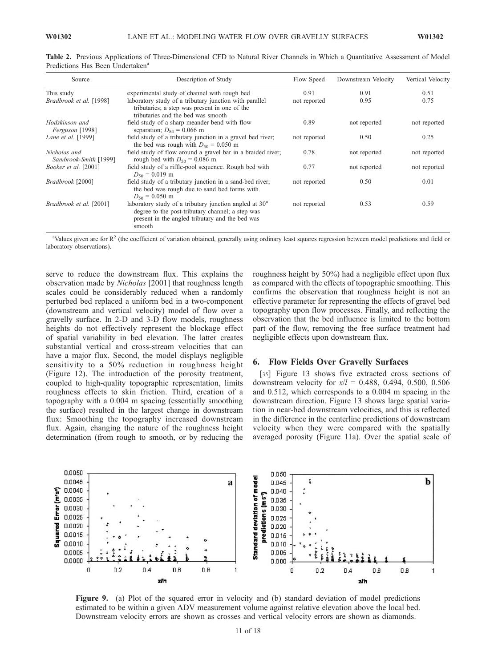| Source                                | Description of Study                                                                                                                                                    | Flow Speed   | Downstream Velocity | Vertical Velocity |
|---------------------------------------|-------------------------------------------------------------------------------------------------------------------------------------------------------------------------|--------------|---------------------|-------------------|
| This study                            | experimental study of channel with rough bed                                                                                                                            | 0.91         | 0.91                | 0.51              |
| Bradbrook et al. [1998]               | laboratory study of a tributary junction with parallel<br>tributaries; a step was present in one of the<br>tributaries and the bed was smooth                           | not reported | 0.95                | 0.75              |
| Hodskinson and<br>Ferguson [1998]     | field study of a sharp meander bend with flow<br>separation; $D_{84} = 0.066$ m                                                                                         | 0.89         | not reported        | not reported      |
| Lane et al. [1999]                    | field study of a tributary junction in a gravel bed river;<br>the bed was rough with $D_{50} = 0.050$ m                                                                 | not reported | 0.50                | 0.25              |
| Nicholas and<br>Sambrook-Smith [1999] | field study of flow around a gravel bar in a braided river;<br>rough bed with $D_{50} = 0.086$ m                                                                        | 0.78         | not reported        | not reported      |
| Booker et al. [2001]                  | field study of a riffle-pool sequence. Rough bed with<br>$D_{50} = 0.019$ m                                                                                             | 0.77         | not reported        | not reported      |
| Bradbrook [2000]                      | field study of a tributary junction in a sand-bed river;<br>the bed was rough due to sand bed forms with<br>$D_{50} = 0.050$ m                                          | not reported | 0.50                | 0.01              |
| Bradbrook et al. [2001]               | laboratory study of a tributary junction angled at 30°<br>degree to the post-tributary channel; a step was<br>present in the angled tributary and the bed was<br>smooth | not reported | 0.53                | 0.59              |

Table 2. Previous Applications of Three-Dimensional CFD to Natural River Channels in Which a Quantitative Assessment of Model Predictions Has Been Undertaken<sup>a</sup>

<sup>a</sup>Values given are for R<sup>2</sup> (the coefficient of variation obtained, generally using ordinary least squares regression between model predictions and field or laboratory observations).

serve to reduce the downstream flux. This explains the observation made by Nicholas [2001] that roughness length scales could be considerably reduced when a randomly perturbed bed replaced a uniform bed in a two-component (downstream and vertical velocity) model of flow over a gravelly surface. In 2-D and 3-D flow models, roughness heights do not effectively represent the blockage effect of spatial variability in bed elevation. The latter creates substantial vertical and cross-stream velocities that can have a major flux. Second, the model displays negligible sensitivity to a 50% reduction in roughness height (Figure 12). The introduction of the porosity treatment, coupled to high-quality topographic representation, limits roughness effects to skin friction. Third, creation of a topography with a 0.004 m spacing (essentially smoothing the surface) resulted in the largest change in downstream flux: Smoothing the topography increased downstream flux. Again, changing the nature of the roughness height determination (from rough to smooth, or by reducing the

roughness height by 50%) had a negligible effect upon flux as compared with the effects of topographic smoothing. This confirms the observation that roughness height is not an effective parameter for representing the effects of gravel bed topography upon flow processes. Finally, and reflecting the observation that the bed influence is limited to the bottom part of the flow, removing the free surface treatment had negligible effects upon downstream flux.

#### 6. Flow Fields Over Gravelly Surfaces

[35] Figure 13 shows five extracted cross sections of downstream velocity for  $x/l = 0.488, 0.494, 0.500, 0.506$ and 0.512, which corresponds to a 0.004 m spacing in the downstream direction. Figure 13 shows large spatial variation in near-bed downstream velocities, and this is reflected in the difference in the centerline predictions of downstream velocity when they were compared with the spatially averaged porosity (Figure 11a). Over the spatial scale of



Figure 9. (a) Plot of the squared error in velocity and (b) standard deviation of model predictions estimated to be within a given ADV measurement volume against relative elevation above the local bed. Downstream velocity errors are shown as crosses and vertical velocity errors are shown as diamonds.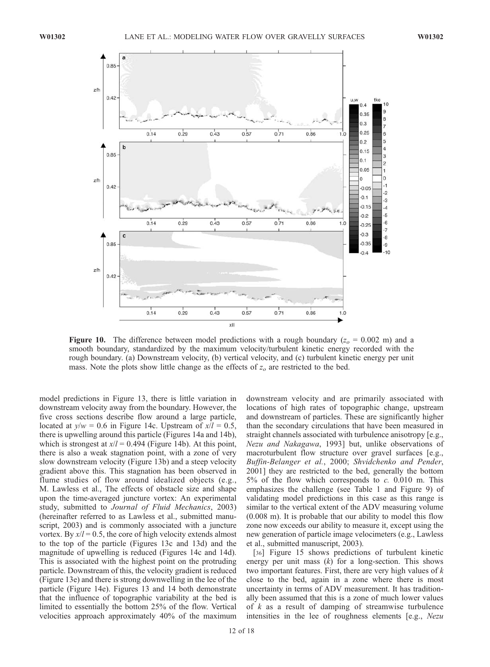

**Figure 10.** The difference between model predictions with a rough boundary ( $z<sub>o</sub> = 0.002$  m) and a smooth boundary, standardized by the maximum velocity/turbulent kinetic energy recorded with the rough boundary. (a) Downstream velocity, (b) vertical velocity, and (c) turbulent kinetic energy per unit mass. Note the plots show little change as the effects of  $z<sub>o</sub>$  are restricted to the bed.

model predictions in Figure 13, there is little variation in downstream velocity away from the boundary. However, the five cross sections describe flow around a large particle, located at  $y/w = 0.6$  in Figure 14c. Upstream of  $x/l = 0.5$ , there is upwelling around this particle (Figures 14a and 14b), which is strongest at  $x/l = 0.494$  (Figure 14b). At this point, there is also a weak stagnation point, with a zone of very slow downstream velocity (Figure 13b) and a steep velocity gradient above this. This stagnation has been observed in flume studies of flow around idealized objects (e.g., M. Lawless et al., The effects of obstacle size and shape upon the time-averaged juncture vortex: An experimental study, submitted to Journal of Fluid Mechanics, 2003) (hereinafter referred to as Lawless et al., submitted manuscript, 2003) and is commonly associated with a juncture vortex. By  $x/l = 0.5$ , the core of high velocity extends almost to the top of the particle (Figures 13c and 13d) and the magnitude of upwelling is reduced (Figures 14c and 14d). This is associated with the highest point on the protruding particle. Downstream of this, the velocity gradient is reduced (Figure 13e) and there is strong downwelling in the lee of the particle (Figure 14e). Figures 13 and 14 both demonstrate that the influence of topographic variability at the bed is limited to essentially the bottom 25% of the flow. Vertical velocities approach approximately 40% of the maximum downstream velocity and are primarily associated with locations of high rates of topographic change, upstream and downstream of particles. These are significantly higher than the secondary circulations that have been measured in straight channels associated with turbulence anisotropy [e.g., Nezu and Nakagawa, 1993] but, unlike observations of macroturbulent flow structure over gravel surfaces [e.g., Buffin-Belanger et al., 2000; Shvidchenko and Pender, 2001] they are restricted to the bed, generally the bottom  $5\%$  of the flow which corresponds to c. 0.010 m. This emphasizes the challenge (see Table 1 and Figure 9) of validating model predictions in this case as this range is similar to the vertical extent of the ADV measuring volume (0.008 m). It is probable that our ability to model this flow zone now exceeds our ability to measure it, except using the new generation of particle image velocimeters (e.g., Lawless et al., submitted manuscript, 2003).

[36] Figure 15 shows predictions of turbulent kinetic energy per unit mass  $(k)$  for a long-section. This shows two important features. First, there are very high values of  $k$ close to the bed, again in a zone where there is most uncertainty in terms of ADV measurement. It has traditionally been assumed that this is a zone of much lower values of  $k$  as a result of damping of streamwise turbulence intensities in the lee of roughness elements [e.g., Nezu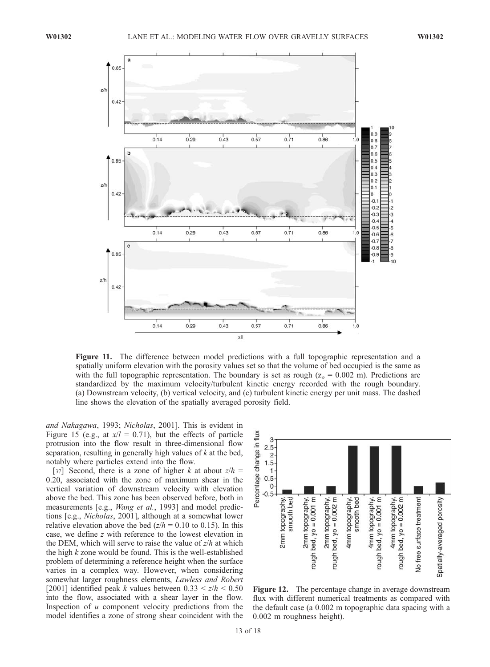

Figure 11. The difference between model predictions with a full topographic representation and a spatially uniform elevation with the porosity values set so that the volume of bed occupied is the same as with the full topographic representation. The boundary is set as rough ( $z_0 = 0.002$  m). Predictions are standardized by the maximum velocity/turbulent kinetic energy recorded with the rough boundary. (a) Downstream velocity, (b) vertical velocity, and (c) turbulent kinetic energy per unit mass. The dashed line shows the elevation of the spatially averaged porosity field.

and Nakagawa, 1993; Nicholas, 2001]. This is evident in Figure 15 (e.g., at  $x/l = 0.71$ ), but the effects of particle protrusion into the flow result in three-dimensional flow separation, resulting in generally high values of  $k$  at the bed, notably where particles extend into the flow.

[37] Second, there is a zone of higher k at about  $z/h =$ 0.20, associated with the zone of maximum shear in the vertical variation of downstream velocity with elevation above the bed. This zone has been observed before, both in measurements [e.g., Wang et al., 1993] and model predictions [e.g., Nicholas, 2001], although at a somewhat lower relative elevation above the bed  $(z/h = 0.10$  to 0.15). In this case, we define z with reference to the lowest elevation in the DEM, which will serve to raise the value of  $z/h$  at which the high  $k$  zone would be found. This is the well-established problem of determining a reference height when the surface varies in a complex way. However, when considering somewhat larger roughness elements, Lawless and Robert [2001] identified peak k values between  $0.33 \le z/h \le 0.50$ into the flow, associated with a shear layer in the flow. Inspection of  $u$  component velocity predictions from the model identifies a zone of strong shear coincident with the



Figure 12. The percentage change in average downstream flux with different numerical treatments as compared with the default case (a 0.002 m topographic data spacing with a 0.002 m roughness height).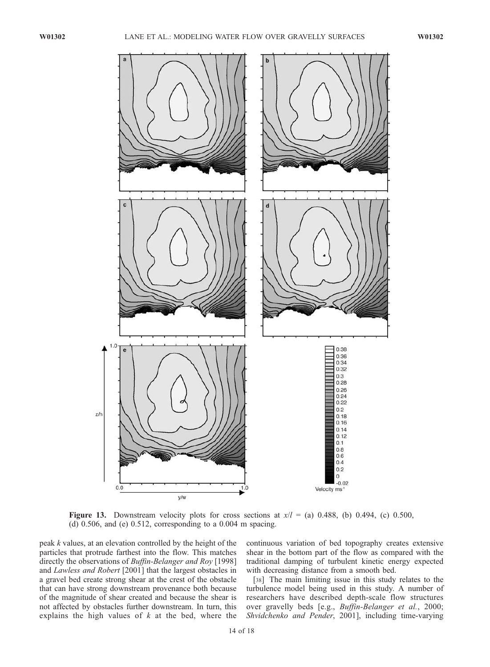

Figure 13. Downstream velocity plots for cross sections at  $x/l = (a)$  0.488, (b) 0.494, (c) 0.500, (d)  $0.506$ , and (e)  $0.512$ , corresponding to a  $0.004$  m spacing.

peak k values, at an elevation controlled by the height of the particles that protrude farthest into the flow. This matches directly the observations of Buffin-Belanger and Roy [1998] and Lawless and Robert [2001] that the largest obstacles in a gravel bed create strong shear at the crest of the obstacle that can have strong downstream provenance both because of the magnitude of shear created and because the shear is not affected by obstacles further downstream. In turn, this explains the high values of  $k$  at the bed, where the continuous variation of bed topography creates extensive shear in the bottom part of the flow as compared with the traditional damping of turbulent kinetic energy expected with decreasing distance from a smooth bed.

[38] The main limiting issue in this study relates to the turbulence model being used in this study. A number of researchers have described depth-scale flow structures over gravelly beds [e.g., Buffin-Belanger et al., 2000; Shvidchenko and Pender, 2001], including time-varying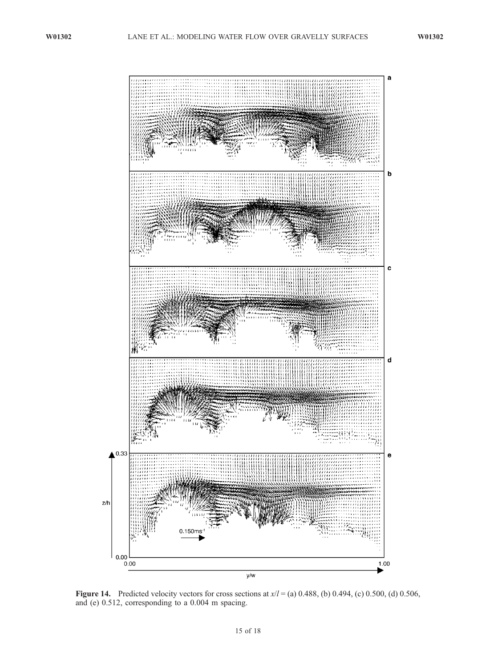

**Figure 14.** Predicted velocity vectors for cross sections at  $x/l = (a) 0.488$ , (b) 0.494, (c) 0.500, (d) 0.506, and (e) 0.512, corresponding to a 0.004 m spacing.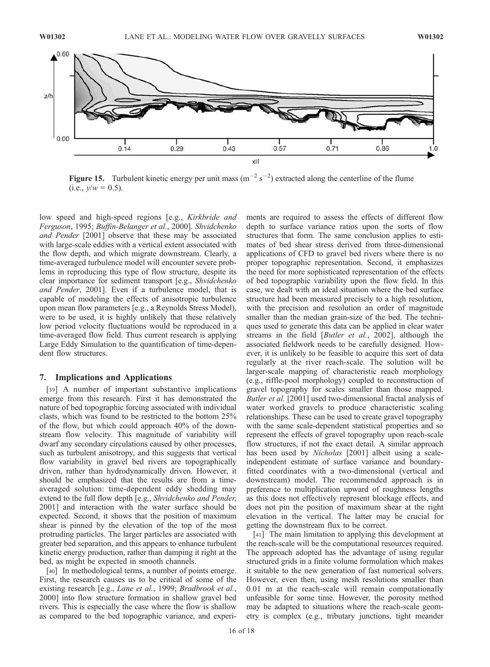

Figure 15. Turbulent kinetic energy per unit mass  $(m^{-2} s^{-2})$  extracted along the centerline of the flume (i.e.,  $y/w = 0.5$ ).

low speed and high-speed regions [e.g., *Kirkbride and* Ferguson, 1995; Buffin-Belanger et al., 2000]. Shvidchenko and Pender [2001] observe that these may be associated with large-scale eddies with a vertical extent associated with the flow depth, and which migrate downstream. Clearly, a time-averaged turbulence model will encounter severe problems in reproducing this type of flow structure, despite its clear importance for sediment transport [e.g., Shvidchenko and Pender, 2001]. Even if a turbulence model, that is capable of modeling the effects of anisotropic turbulence upon mean flow parameters [e.g., a Reynolds Stress Model), were to be used, it is highly unlikely that these relatively low period velocity fluctuations would be reproduced in a time-averaged flow field. Thus current research is applying Large Eddy Simulation to the quantification of time-dependent flow structures.

#### 7. Implications and Applications

[39] A number of important substantive implications emerge from this research. First it has demonstrated the nature of bed topographic forcing associated with individual clasts, which was found to be restricted to the bottom 25% of the flow, but which could approach 40% of the downstream flow velocity. This magnitude of variability will dwarf any secondary circulations caused by other processes, such as turbulent anisotropy, and this suggests that vertical flow variability in gravel bed rivers are topographically driven, rather than hydrodynamically driven. However, it should be emphasized that the results are from a timeaveraged solution: time-dependent eddy shedding may extend to the full flow depth [e.g., Shvidchenko and Pender, 2001] and interaction with the water surface should be expected. Second, it shows that the position of maximum shear is pinned by the elevation of the top of the most protruding particles. The larger particles are associated with greater bed separation, and this appears to enhance turbulent kinetic energy production, rather than damping it right at the bed, as might be expected in smooth channels.

[40] In methodological terms, a number of points emerge. First, the research causes us to be critical of some of the existing research [e.g., *Lane et al.*, 1999; *Bradbrook et al.*, 2000] into flow structure formation in shallow gravel bed rivers. This is especially the case where the flow is shallow as compared to the bed topographic variance, and experiments are required to assess the effects of different flow depth to surface variance ratios upon the sorts of flow structures that form. The same conclusion applies to estimates of bed shear stress derived from three-dimensional applications of CFD to gravel bed rivers where there is no proper topographic representation. Second, it emphasizes the need for more sophisticated representation of the effects of bed topographic variability upon the flow field. In this case, we dealt with an ideal situation where the bed surface structure had been measured precisely to a high resolution, with the precision and resolution an order of magnitude smaller than the median grain-size of the bed. The techniques used to generate this data can be applied in clear water streams in the field [Butler et al., 2002], although the associated fieldwork needs to be carefully designed. However, it is unlikely to be feasible to acquire this sort of data regularly at the river reach-scale. The solution will be larger-scale mapping of characteristic reach morphology (e.g., riffle-pool morphology) coupled to reconstruction of gravel topography for scales smaller than those mapped. Butler et al. [2001] used two-dimensional fractal analysis of water worked gravels to produce characteristic scaling relationships. These can be used to create gravel topography with the same scale-dependent statistical properties and so represent the effects of gravel topography upon reach-scale flow structures, if not the exact detail. A similar approach has been used by *Nicholas* [2001] albeit using a scaleindependent estimate of surface variance and boundaryfitted coordinates with a two-dimensional (vertical and downstream) model. The recommended approach is in preference to multiplication upward of roughness lengths as this does not effectively represent blockage effects, and does not pin the position of maximum shear at the right elevation in the vertical. The latter may be crucial for getting the downstream flux to be correct.

[41] The main limitation to applying this development at the reach-scale will be the computational resources required. The approach adopted has the advantage of using regular structured grids in a finite volume formulation which makes it suitable to the new generation of fast numerical solvers. However, even then, using mesh resolutions smaller than 0.01 m at the reach-scale will remain computationally unfeasible for some time. However, the porosity method may be adapted to situations where the reach-scale geometry is complex (e.g., tributary junctions, tight meander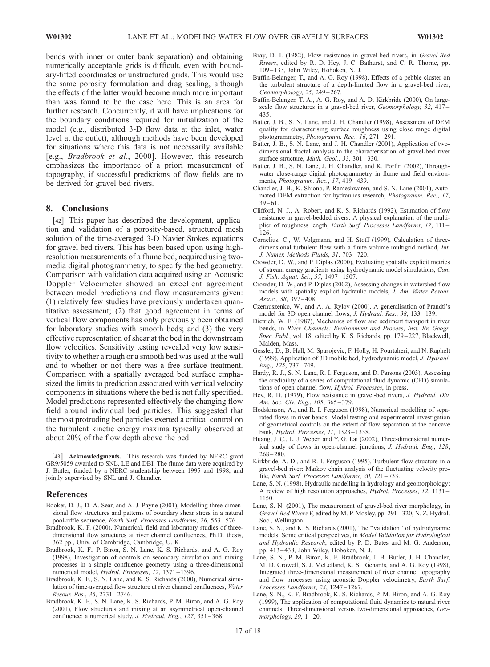bends with inner or outer bank separation) and obtaining numerically acceptable grids is difficult, even with boundary-fitted coordinates or unstructured grids. This would use the same porosity formulation and drag scaling, although the effects of the latter would become much more important than was found to be the case here. This is an area for further research. Concurrently, it will have implications for the boundary conditions required for initialization of the model (e.g., distributed 3-D flow data at the inlet, water level at the outlet), although methods have been developed for situations where this data is not necessarily available [e.g., Bradbrook et al., 2000]. However, this research emphasizes the importance of a priori measurement of topography, if successful predictions of flow fields are to be derived for gravel bed rivers.

#### 8. Conclusions

[42] This paper has described the development, application and validation of a porosity-based, structured mesh solution of the time-averaged 3-D Navier Stokes equations for gravel bed rivers. This has been based upon using highresolution measurements of a flume bed, acquired using twomedia digital photogrammetry, to specify the bed geometry. Comparison with validation data acquired using an Acoustic Doppler Velocimeter showed an excellent agreement between model predictions and flow measurements given: (1) relatively few studies have previously undertaken quantitative assessment; (2) that good agreement in terms of vertical flow components has only previously been obtained for laboratory studies with smooth beds; and (3) the very effective representation of shear at the bed in the downstream flow velocities. Sensitivity testing revealed very low sensitivity to whether a rough or a smooth bed was used at the wall and to whether or not there was a free surface treatment. Comparison with a spatially averaged bed surface emphasized the limits to prediction associated with vertical velocity components in situations where the bed is not fully specified. Model predictions represented effectively the changing flow field around individual bed particles. This suggested that the most protruding bed particles exerted a critical control on the turbulent kinetic energy maxima typically observed at about 20% of the flow depth above the bed.

[43] Acknowledgments. This research was funded by NERC grant GR9/5059 awarded to SNL, LE and DBI. The flume data were acquired by J. Butler, funded by a NERC studentship between 1995 and 1998, and jointly supervised by SNL and J. Chandler.

#### References

- Booker, D. J., D. A. Sear, and A. J. Payne (2001), Modelling three-dimensional flow structures and patterns of boundary shear stress in a natural pool-riffle sequence, Earth Surf. Processes Landforms, 26, 553 – 576.
- Bradbrook, K. F. (2000), Numerical, field and laboratory studies of threedimensional flow structures at river channel confluences, Ph.D. thesis, 362 pp., Univ. of Cambridge, Cambridge, U. K.
- Bradbrook, K. F., P. Biron, S. N. Lane, K. S. Richards, and A. G. Roy (1998), Investigation of controls on secondary circulation and mixing processes in a simple confluence geometry using a three-dimensional numerical model, *Hydrol. Processes*, 12, 1371-1396.
- Bradbrook, K. F., S. N. Lane, and K. S. Richards (2000), Numerical simulation of time-averaged flow structure at river channel confluences, Water Resour. Res., 36, 2731 – 2746.
- Bradbrook, K. F., S. N. Lane, K. S. Richards, P. M. Biron, and A. G. Roy (2001), Flow structures and mixing at an asymmetrical open-channel confluence: a numerical study, J. Hydraul. Eng., 127, 351-368.
- Bray, D. I. (1982), Flow resistance in gravel-bed rivers, in Gravel-Bed Rivers, edited by R. D. Hey, J. C. Bathurst, and C. R. Thorne, pp. 109 – 133, John Wiley, Hoboken, N. J.
- Buffin-Belanger, T., and A. G. Roy (1998), Effects of a pebble cluster on the turbulent structure of a depth-limited flow in a gravel-bed river, Geomorphology, 25, 249 – 267.
- Buffin-Belanger, T. A., A. G. Roy, and A. D. Kirkbride (2000), On largescale flow structures in a gravel-bed river, Geomorphology, 32, 417-435.
- Butler, J. B., S. N. Lane, and J. H. Chandler (1998), Assessment of DEM quality for characterising surface roughness using close range digital photogrammetry, Photogramm. Rec., 16, 271-291.
- Butler, J. B., S. N. Lane, and J. H. Chandler (2001), Application of twodimensional fractal analysis to the characterisation of gravel-bed river surface structure, Math. Geol., 33, 301-330.
- Butler, J. B., S. N. Lane, J. H. Chandler, and K. Porfiri (2002), Throughwater close-range digital photogrammetry in flume and field environments, Photogramm. Rec., 17, 419-439.
- Chandler, J. H., K. Shiono, P. Rameshwaren, and S. N. Lane (2001), Automated DEM extraction for hydraulics research, Photogramm. Rec., 17,  $39 - 61$ .
- Clifford, N. J., A. Robert, and K. S. Richards (1992), Estimation of flow resistance in gravel-bedded rivers: A physical explanation of the multiplier of roughness length, Earth Surf. Processes Landforms, 17, 111-126.
- Cornelius, C., W. Volgmann, and H. Stoff (1999), Calculation of threedimensional turbulent flow with a finite volume multigrid method, Int. J. Numer. Methods Fluids, 31, 703 – 720.
- Crowder, D. W., and P. Diplas (2000), Evaluating spatially explicit metrics of stream energy gradients using hydrodynamic model simulations, Can. J. Fish. Aquat. Sci., 57, 1497 – 1507.
- Crowder, D. W., and P. Diplas (2002), Assessing changes in watershed flow models with spatially explicit hydraulic models, J. Am. Water Resour. Assoc., 38, 397 – 408.
- Czernuszenko, W., and A. A. Rylov (2000), A generalisation of Prandtl's model for 3D open channel flows, *J. Hydraul. Res.*, 38, 133-139.
- Dietrich, W. E. (1987), Mechanics of flow and sediment transport in river bends, in River Channels: Environment and Process, Inst. Br. Geogr. Spec. Publ., vol. 18, edited by K. S. Richards, pp. 179-227, Blackwell, Malden, Mass.
- Gessler, D., B. Hall, M. Spasojevic, F. Holly, H. Pourtaheri, and N. Raphelt (1999), Application of 3D mobile bed, hydrodynamic model, J. Hydraul. Eng., 125, 737 – 749.
- Hardy, R. J., S. N. Lane, R. I. Ferguson, and D. Parsons (2003), Assessing the credibility of a series of computational fluid dynamic (CFD) simulations of open channel flow, Hydrol. Processes, in press.
- Hey, R. D. (1979), Flow resistance in gravel-bed rivers, J. Hydraul. Div. Am. Soc. Civ. Eng., 105, 365 – 379.
- Hodskinson, A., and R. I. Ferguson (1998), Numerical modelling of separated flows in river bends: Model testing and experimental investigation of geometrical controls on the extent of flow separation at the concave bank, *Hydrol. Processes*, 11, 1323-1338.
- Huang, J. C., L. J. Weber, and Y. G. Lai (2002), Three-dimensional numerical study of flows in open-channel junctions, J. Hydraul. Eng., 128,  $268 - 280$
- Kirkbride, A. D., and R. I. Ferguson (1995), Turbulent flow structure in a gravel-bed river: Markov chain analysis of the fluctuating velocity profile, Earth Surf. Processes Landforms, 20, 721-733.
- Lane, S. N. (1998), Hydraulic modelling in hydrology and geomorphology: A review of high resolution approaches, Hydrol. Processes, 12, 1131-1150.
- Lane, S. N. (2001), The measurement of gravel-bed river morphology, in Gravel-Bed Rivers V, edited by M. P. Mosley, pp. 291 – 320, N. Z. Hydrol. Soc., Wellington.
- Lane, S. N., and K. S. Richards (2001), The ''validation'' of hydrodynamic models: Some critical perspectives, in Model Validation for Hydrological and Hydraulic Research, edited by P. D. Bates and M. G. Anderson, pp. 413 – 438, John Wiley, Hoboken, N. J.
- Lane, S. N., P. M. Biron, K. F. Bradbrook, J. B. Butler, J. H. Chandler, M. D. Crowell, S. J. McLelland, K. S. Richards, and A. G. Roy (1998), Integrated three-dimensional measurement of river channel topography and flow processes using acoustic Doppler velocimetry, Earth Surf. Processes Landforms, 23, 1247 – 1267.
- Lane, S. N., K. F. Bradbrook, K. S. Richards, P. M. Biron, and A. G. Roy (1999), The application of computational fluid dynamics to natural river channels: Three-dimensional versus two-dimensional approaches, Geomorphology, 29, 1-20.